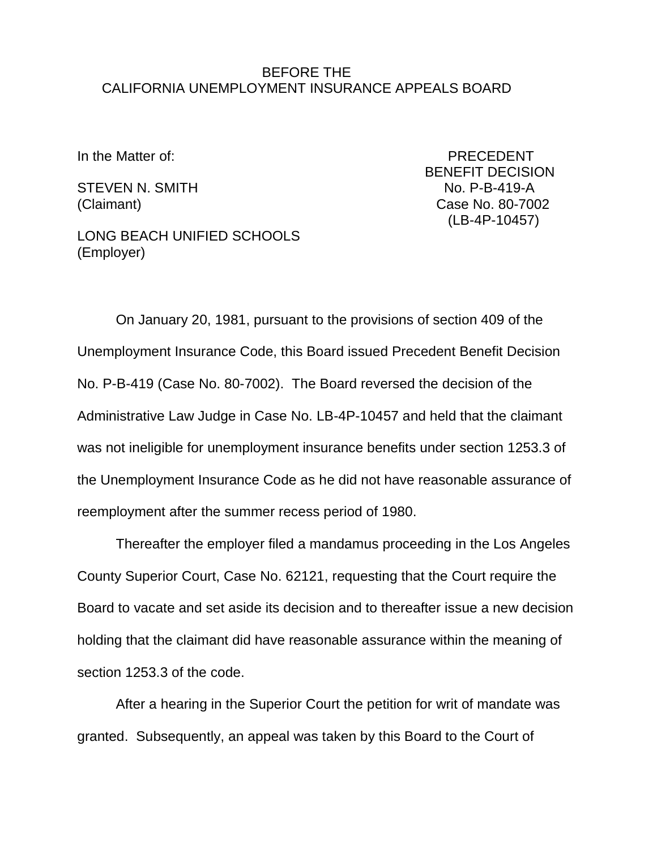## BEFORE THE CALIFORNIA UNEMPLOYMENT INSURANCE APPEALS BOARD

STEVEN N. SMITH NO. P-B-419-A

In the Matter of: PRECEDENT BENEFIT DECISION (Claimant) Case No. 80-7002 (LB-4P-10457)

LONG BEACH UNIFIED SCHOOLS (Employer)

On January 20, 1981, pursuant to the provisions of section 409 of the Unemployment Insurance Code, this Board issued Precedent Benefit Decision No. P-B-419 (Case No. 80-7002). The Board reversed the decision of the Administrative Law Judge in Case No. LB-4P-10457 and held that the claimant was not ineligible for unemployment insurance benefits under section 1253.3 of the Unemployment Insurance Code as he did not have reasonable assurance of reemployment after the summer recess period of 1980.

Thereafter the employer filed a mandamus proceeding in the Los Angeles County Superior Court, Case No. 62121, requesting that the Court require the Board to vacate and set aside its decision and to thereafter issue a new decision holding that the claimant did have reasonable assurance within the meaning of section 1253.3 of the code.

After a hearing in the Superior Court the petition for writ of mandate was granted. Subsequently, an appeal was taken by this Board to the Court of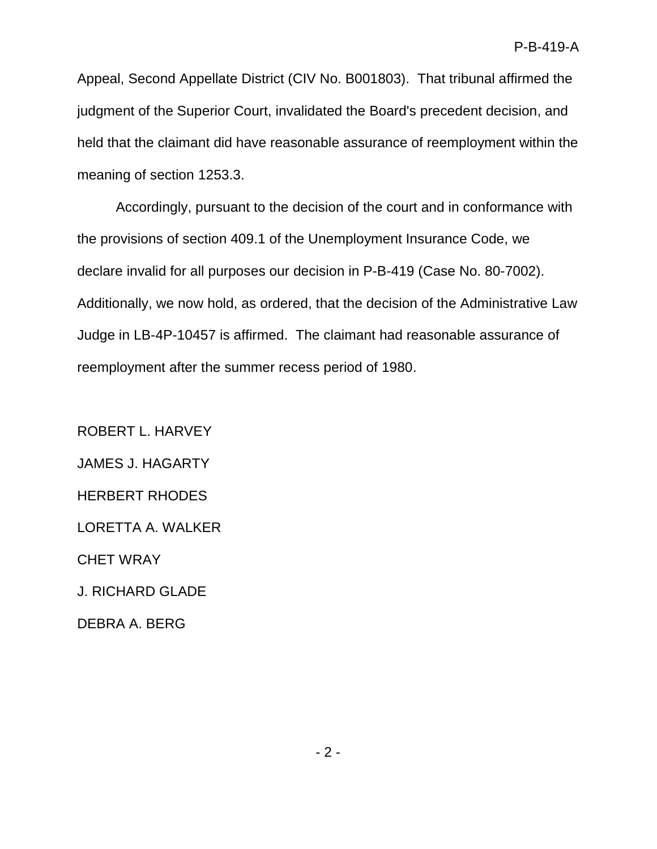Appeal, Second Appellate District (CIV No. B001803). That tribunal affirmed the judgment of the Superior Court, invalidated the Board's precedent decision, and held that the claimant did have reasonable assurance of reemployment within the meaning of section 1253.3.

Accordingly, pursuant to the decision of the court and in conformance with the provisions of section 409.1 of the Unemployment Insurance Code, we declare invalid for all purposes our decision in P-B-419 (Case No. 80-7002). Additionally, we now hold, as ordered, that the decision of the Administrative Law Judge in LB-4P-10457 is affirmed. The claimant had reasonable assurance of reemployment after the summer recess period of 1980.

ROBERT L. HARVEY JAMES J. HAGARTY HERBERT RHODES LORETTA A. WALKER CHET WRAY J. RICHARD GLADE DEBRA A. BERG